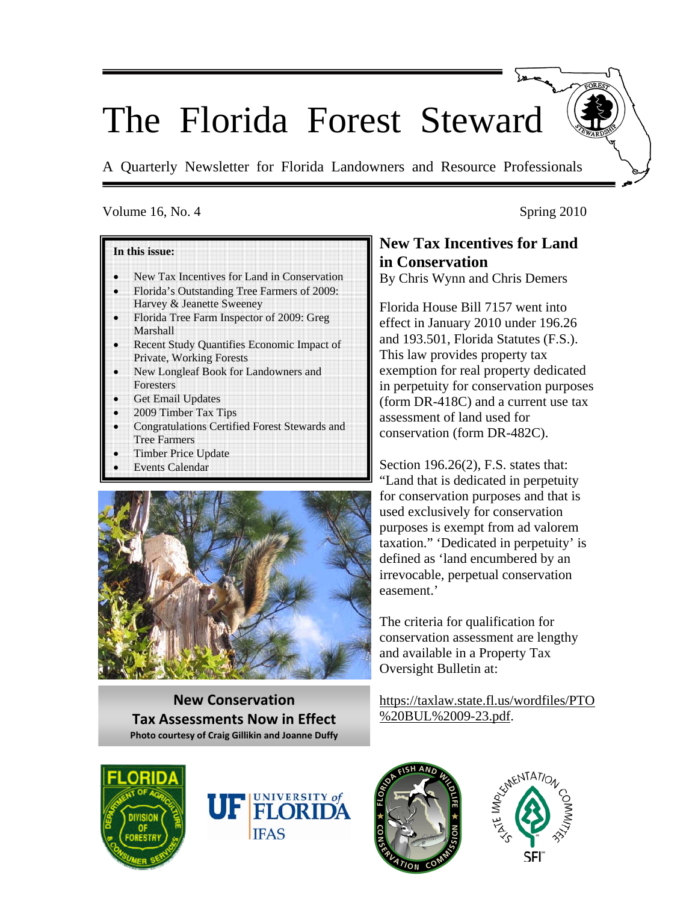# The Florida Forest Steward

A Quarterly Newsletter for Florida Landowners and Resource Professionals

#### Volume 16, No. 4 Spring 2010

#### **In this issue:**

- New Tax Incentives for Land in Conservation
- Florida's Outstanding Tree Farmers of 2009: Harvey & Jeanette Sweeney
- Florida Tree Farm Inspector of 2009: Greg Marshall
- Recent Study Quantifies Economic Impact of Private, Working Forests
- New Longleaf Book for Landowners and **Foresters**
- Get Email Updates
- 2009 Timber Tax Tips
- Congratulations Certified Forest Stewards and Tree Farmers
- Timber Price Update
- **Events Calendar**



**New Conservation Tax Assessments Now in Effect Photo courtesy of Craig Gillikin and Joanne Duffy**

## **New Tax Incentives for Land in Conservation**

By Chris Wynn and Chris Demers

Florida House Bill 7157 went into effect in January 2010 under 196.26 and 193.501, Florida Statutes (F.S.). This law provides property tax exemption for real property dedicated in perpetuity for conservation purposes (form DR-418C) and a current use tax assessment of land used for conservation (form DR-482C).

Section 196.26(2), F.S. states that: "Land that is dedicated in perpetuity for conservation purposes and that is used exclusively for conservation purposes is exempt from ad valorem taxation." 'Dedicated in perpetuity' is defined as 'land encumbered by an irrevocable, perpetual conservation easement.'

The criteria for qualification for conservation assessment are lengthy and available in a Property Tax Oversight Bulletin at:

https://taxlaw.state.fl.us/wordfiles/PTO %20BUL%2009-23.pdf.







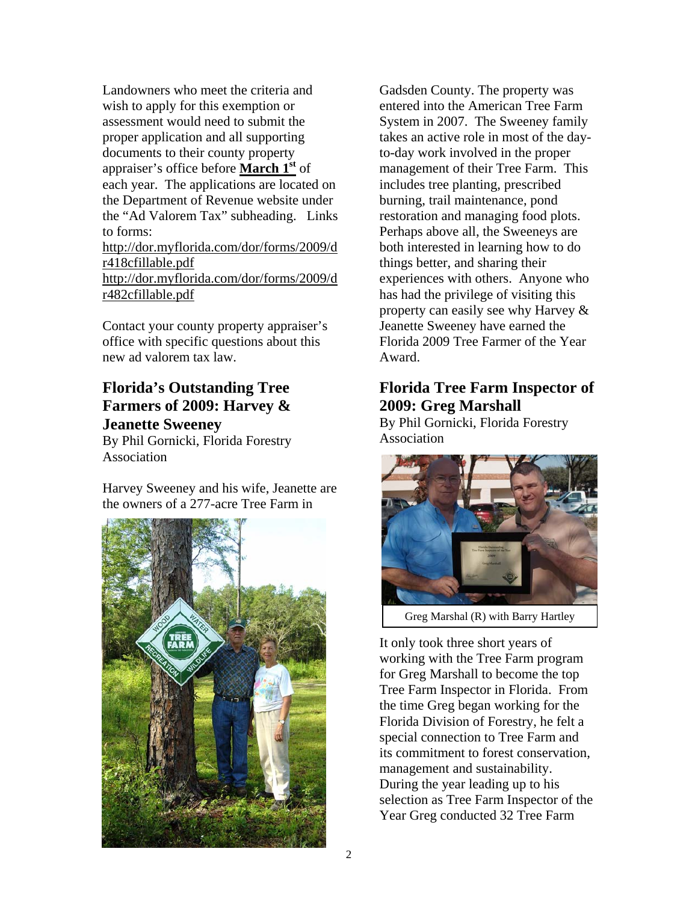Landowners who meet the criteria and wish to apply for this exemption or assessment would need to submit the proper application and all supporting documents to their county property appraiser's office before **March 1st** of each year. The applications are located on the Department of Revenue website under the "Ad Valorem Tax" subheading. Links to forms: http://dor.myflorida.com/dor/forms/2009/d r418cfillable.pdf http://dor.myflorida.com/dor/forms/2009/d r482cfillable.pdf

Contact your county property appraiser's office with specific questions about this new ad valorem tax law.

## **Florida's Outstanding Tree Farmers of 2009: Harvey & Jeanette Sweeney**

By Phil Gornicki, Florida Forestry Association

Harvey Sweeney and his wife, Jeanette are the owners of a 277-acre Tree Farm in



Gadsden County. The property was entered into the American Tree Farm System in 2007. The Sweeney family takes an active role in most of the dayto-day work involved in the proper management of their Tree Farm. This includes tree planting, prescribed burning, trail maintenance, pond restoration and managing food plots. Perhaps above all, the Sweeneys are both interested in learning how to do things better, and sharing their experiences with others. Anyone who has had the privilege of visiting this property can easily see why Harvey & Jeanette Sweeney have earned the Florida 2009 Tree Farmer of the Year Award.

## **Florida Tree Farm Inspector of 2009: Greg Marshall**

By Phil Gornicki, Florida Forestry Association



Greg Marshal (R) with Barry Hartley

It only took three short years of working with the Tree Farm program for Greg Marshall to become the top Tree Farm Inspector in Florida. From the time Greg began working for the Florida Division of Forestry, he felt a special connection to Tree Farm and its commitment to forest conservation, management and sustainability. During the year leading up to his selection as Tree Farm Inspector of the Year Greg conducted 32 Tree Farm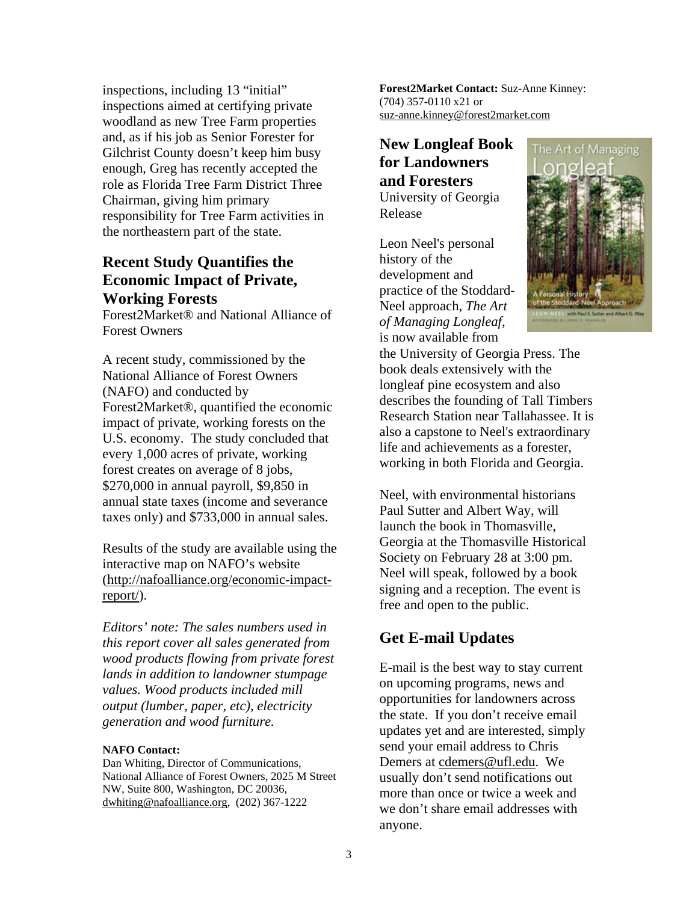inspections, including 13 "initial" inspections aimed at certifying private woodland as new Tree Farm properties and, as if his job as Senior Forester for Gilchrist County doesn't keep him busy enough, Greg has recently accepted the role as Florida Tree Farm District Three Chairman, giving him primary responsibility for Tree Farm activities in the northeastern part of the state.

## **Recent Study Quantifies the Economic Impact of Private, Working Forests**

Forest2Market® and National Alliance of Forest Owners

A recent study, commissioned by the National Alliance of Forest Owners (NAFO) and conducted by Forest2Market®, quantified the economic impact of private, working forests on the U.S. economy. The study concluded that every 1,000 acres of private, working forest creates on average of 8 jobs, \$270,000 in annual payroll, \$9,850 in annual state taxes (income and severance taxes only) and \$733,000 in annual sales.

Results of the study are available using the interactive map on NAFO's website (http://nafoalliance.org/economic-impactreport/).

*Editors' note: The sales numbers used in this report cover all sales generated from wood products flowing from private forest lands in addition to landowner stumpage values. Wood products included mill output (lumber, paper, etc), electricity generation and wood furniture.*

#### **NAFO Contact:**

Dan Whiting, Director of Communications, National Alliance of Forest Owners, 2025 M Street NW, Suite 800, Washington, DC 20036, dwhiting@nafoalliance.org, (202) 367-1222

**Forest2Market Contact:** Suz-Anne Kinney: (704) 357-0110 x21 or suz-anne.kinney@forest2market.com

### **New Longleaf Book for Landowners and Foresters**  University of Georgia Release

Leon Neel's personal history of the development and practice of the Stoddard-Neel approach, *The Art of Managing Longleaf*, is now available from



the University of Georgia Press. The book deals extensively with the longleaf pine ecosystem and also describes the founding of Tall Timbers Research Station near Tallahassee. It is also a capstone to Neel's extraordinary life and achievements as a forester, working in both Florida and Georgia.

Neel, with environmental historians Paul Sutter and Albert Way, will launch the book in Thomasville, Georgia at the Thomasville Historical Society on February 28 at 3:00 pm. Neel will speak, followed by a book signing and a reception. The event is free and open to the public.

## **Get E-mail Updates**

E-mail is the best way to stay current on upcoming programs, news and opportunities for landowners across the state. If you don't receive email updates yet and are interested, simply send your email address to Chris Demers at cdemers@ufl.edu. We usually don't send notifications out more than once or twice a week and we don't share email addresses with anyone.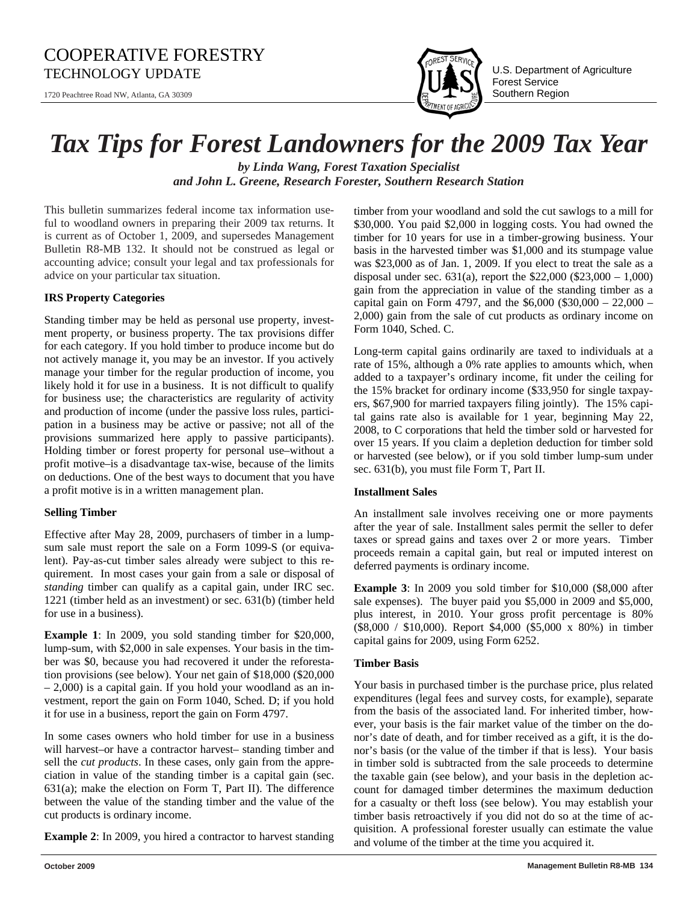## COOPERATIVE FORESTRY TECHNOLOGY UPDATE  $\prod_{i=1}^{\infty} \prod_{j=1}^{\infty} \prod_{j=1}^{\infty} \prod_{j=1}^{\infty}$  U.S. Department of Agriculture

1720 Peachtree Road NW, Atlanta, GA 30309



Forest Service Southern Region

## *Tax Tips for Forest Landowners for the 2009 Tax Year*

*by Linda Wang, Forest Taxation Specialist and John L. Greene, Research Forester, Southern Research Station*

This bulletin summarizes federal income tax information useful to woodland owners in preparing their 2009 tax returns. It is current as of October 1, 2009, and supersedes Management Bulletin R8-MB 132. It should not be construed as legal or accounting advice; consult your legal and tax professionals for advice on your particular tax situation.

#### **IRS Property Categories**

Standing timber may be held as personal use property, investment property, or business property. The tax provisions differ for each category. If you hold timber to produce income but do not actively manage it, you may be an investor. If you actively manage your timber for the regular production of income, you likely hold it for use in a business. It is not difficult to qualify for business use; the characteristics are regularity of activity and production of income (under the passive loss rules, participation in a business may be active or passive; not all of the provisions summarized here apply to passive participants). Holding timber or forest property for personal use–without a profit motive–is a disadvantage tax-wise, because of the limits on deductions. One of the best ways to document that you have a profit motive is in a written management plan.

#### **Selling Timber**

Effective after May 28, 2009, purchasers of timber in a lumpsum sale must report the sale on a Form 1099-S (or equivalent). Pay-as-cut timber sales already were subject to this requirement. In most cases your gain from a sale or disposal of *standing* timber can qualify as a capital gain, under IRC sec. 1221 (timber held as an investment) or sec. 631(b) (timber held for use in a business).

**Example 1**: In 2009, you sold standing timber for \$20,000, lump-sum, with \$2,000 in sale expenses. Your basis in the timber was \$0, because you had recovered it under the reforestation provisions (see below). Your net gain of \$18,000 (\$20,000 – 2,000) is a capital gain. If you hold your woodland as an investment, report the gain on Form 1040, Sched. D; if you hold it for use in a business, report the gain on Form 4797.

In some cases owners who hold timber for use in a business will harvest–or have a contractor harvest– standing timber and sell the *cut products*. In these cases, only gain from the appreciation in value of the standing timber is a capital gain (sec. 631(a); make the election on Form T, Part II). The difference between the value of the standing timber and the value of the cut products is ordinary income.

**Example 2**: In 2009, you hired a contractor to harvest standing

timber from your woodland and sold the cut sawlogs to a mill for \$30,000. You paid \$2,000 in logging costs. You had owned the timber for 10 years for use in a timber-growing business. Your basis in the harvested timber was \$1,000 and its stumpage value was \$23,000 as of Jan. 1, 2009. If you elect to treat the sale as a disposal under sec. 631(a), report the \$22,000 (\$23,000 – 1,000) gain from the appreciation in value of the standing timber as a capital gain on Form 4797, and the  $$6,000$  (\$30,000 – 22,000 – 2,000) gain from the sale of cut products as ordinary income on Form 1040, Sched. C.

Long-term capital gains ordinarily are taxed to individuals at a rate of 15%, although a 0% rate applies to amounts which, when added to a taxpayer's ordinary income, fit under the ceiling for the 15% bracket for ordinary income (\$33,950 for single taxpayers, \$67,900 for married taxpayers filing jointly). The 15% capital gains rate also is available for 1 year, beginning May 22, 2008, to C corporations that held the timber sold or harvested for over 15 years. If you claim a depletion deduction for timber sold or harvested (see below), or if you sold timber lump-sum under sec. 631(b), you must file Form T, Part II.

#### **Installment Sales**

An installment sale involves receiving one or more payments after the year of sale. Installment sales permit the seller to defer taxes or spread gains and taxes over 2 or more years. Timber proceeds remain a capital gain, but real or imputed interest on deferred payments is ordinary income.

**Example 3**: In 2009 you sold timber for \$10,000 (\$8,000 after sale expenses). The buyer paid you \$5,000 in 2009 and \$5,000, plus interest, in 2010. Your gross profit percentage is 80% (\$8,000 / \$10,000). Report \$4,000 (\$5,000 x 80%) in timber capital gains for 2009, using Form 6252.

#### **Timber Basis**

Your basis in purchased timber is the purchase price, plus related expenditures (legal fees and survey costs, for example), separate from the basis of the associated land. For inherited timber, however, your basis is the fair market value of the timber on the donor's date of death, and for timber received as a gift, it is the donor's basis (or the value of the timber if that is less). Your basis in timber sold is subtracted from the sale proceeds to determine the taxable gain (see below), and your basis in the depletion account for damaged timber determines the maximum deduction for a casualty or theft loss (see below). You may establish your timber basis retroactively if you did not do so at the time of acquisition. A professional forester usually can estimate the value and volume of the timber at the time you acquired it.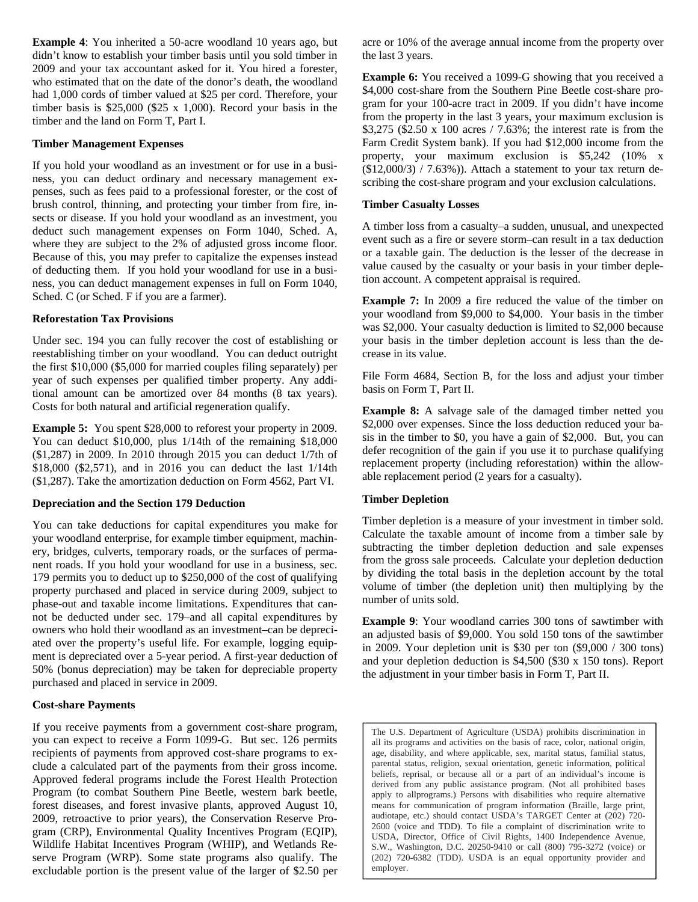**Example 4**: You inherited a 50-acre woodland 10 years ago, but didn't know to establish your timber basis until you sold timber in 2009 and your tax accountant asked for it. You hired a forester, who estimated that on the date of the donor's death, the woodland had 1,000 cords of timber valued at \$25 per cord. Therefore, your timber basis is \$25,000 (\$25 x 1,000). Record your basis in the timber and the land on Form T, Part I.

#### **Timber Management Expenses**

If you hold your woodland as an investment or for use in a business, you can deduct ordinary and necessary management expenses, such as fees paid to a professional forester, or the cost of brush control, thinning, and protecting your timber from fire, insects or disease. If you hold your woodland as an investment, you deduct such management expenses on Form 1040, Sched. A, where they are subject to the 2% of adjusted gross income floor. Because of this, you may prefer to capitalize the expenses instead of deducting them. If you hold your woodland for use in a business, you can deduct management expenses in full on Form 1040, Sched. C (or Sched. F if you are a farmer).

#### **Reforestation Tax Provisions**

Under sec. 194 you can fully recover the cost of establishing or reestablishing timber on your woodland. You can deduct outright the first \$10,000 (\$5,000 for married couples filing separately) per year of such expenses per qualified timber property. Any additional amount can be amortized over 84 months (8 tax years). Costs for both natural and artificial regeneration qualify.

**Example 5:** You spent \$28,000 to reforest your property in 2009. You can deduct \$10,000, plus 1/14th of the remaining \$18,000 (\$1,287) in 2009. In 2010 through 2015 you can deduct 1/7th of \$18,000 (\$2,571), and in 2016 you can deduct the last 1/14th (\$1,287). Take the amortization deduction on Form 4562, Part VI.

#### **Depreciation and the Section 179 Deduction**

You can take deductions for capital expenditures you make for your woodland enterprise, for example timber equipment, machinery, bridges, culverts, temporary roads, or the surfaces of permanent roads. If you hold your woodland for use in a business, sec. 179 permits you to deduct up to \$250,000 of the cost of qualifying property purchased and placed in service during 2009, subject to phase-out and taxable income limitations. Expenditures that cannot be deducted under sec. 179–and all capital expenditures by owners who hold their woodland as an investment–can be depreciated over the property's useful life. For example, logging equipment is depreciated over a 5-year period. A first-year deduction of 50% (bonus depreciation) may be taken for depreciable property purchased and placed in service in 2009.

#### **Cost-share Payments**

If you receive payments from a government cost-share program, you can expect to receive a Form 1099-G. But sec. 126 permits recipients of payments from approved cost-share programs to exclude a calculated part of the payments from their gross income. Approved federal programs include the Forest Health Protection Program (to combat Southern Pine Beetle, western bark beetle, forest diseases, and forest invasive plants, approved August 10, 2009, retroactive to prior years), the Conservation Reserve Program (CRP), Environmental Quality Incentives Program (EQIP), Wildlife Habitat Incentives Program (WHIP), and Wetlands Reserve Program (WRP). Some state programs also qualify. The excludable portion is the present value of the larger of \$2.50 per

acre or 10% of the average annual income from the property over the last 3 years.

**Example 6:** You received a 1099-G showing that you received a \$4,000 cost-share from the Southern Pine Beetle cost-share program for your 100-acre tract in 2009. If you didn't have income from the property in the last 3 years, your maximum exclusion is \$3,275 (\$2.50 x 100 acres / 7.63%; the interest rate is from the Farm Credit System bank). If you had \$12,000 income from the property, your maximum exclusion is \$5,242 (10% x (\$12,000/3) / 7.63%)). Attach a statement to your tax return describing the cost-share program and your exclusion calculations.

#### **Timber Casualty Losses**

A timber loss from a casualty–a sudden, unusual, and unexpected event such as a fire or severe storm–can result in a tax deduction or a taxable gain. The deduction is the lesser of the decrease in value caused by the casualty or your basis in your timber depletion account. A competent appraisal is required.

**Example 7:** In 2009 a fire reduced the value of the timber on your woodland from \$9,000 to \$4,000. Your basis in the timber was \$2,000. Your casualty deduction is limited to \$2,000 because your basis in the timber depletion account is less than the decrease in its value.

File Form 4684, Section B, for the loss and adjust your timber basis on Form T, Part II.

**Example 8:** A salvage sale of the damaged timber netted you \$2,000 over expenses. Since the loss deduction reduced your basis in the timber to \$0, you have a gain of \$2,000. But, you can defer recognition of the gain if you use it to purchase qualifying replacement property (including reforestation) within the allowable replacement period (2 years for a casualty).

#### **Timber Depletion**

Timber depletion is a measure of your investment in timber sold. Calculate the taxable amount of income from a timber sale by subtracting the timber depletion deduction and sale expenses from the gross sale proceeds. Calculate your depletion deduction by dividing the total basis in the depletion account by the total volume of timber (the depletion unit) then multiplying by the number of units sold.

**Example 9**: Your woodland carries 300 tons of sawtimber with an adjusted basis of \$9,000. You sold 150 tons of the sawtimber in 2009. Your depletion unit is \$30 per ton (\$9,000 / 300 tons) and your depletion deduction is \$4,500 (\$30 x 150 tons). Report the adjustment in your timber basis in Form T, Part II.

The U.S. Department of Agriculture (USDA) prohibits discrimination in all its programs and activities on the basis of race, color, national origin, age, disability, and where applicable, sex, marital status, familial status, parental status, religion, sexual orientation, genetic information, political beliefs, reprisal, or because all or a part of an individual's income is derived from any public assistance program. (Not all prohibited bases apply to allprograms.) Persons with disabilities who require alternative means for communication of program information (Braille, large print, audiotape, etc.) should contact USDA's TARGET Center at (202) 720- 2600 (voice and TDD). To file a complaint of discrimination write to USDA, Director, Office of Civil Rights, 1400 Independence Avenue, S.W., Washington, D.C. 20250-9410 or call (800) 795-3272 (voice) or (202) 720-6382 (TDD). USDA is an equal opportunity provider and employer.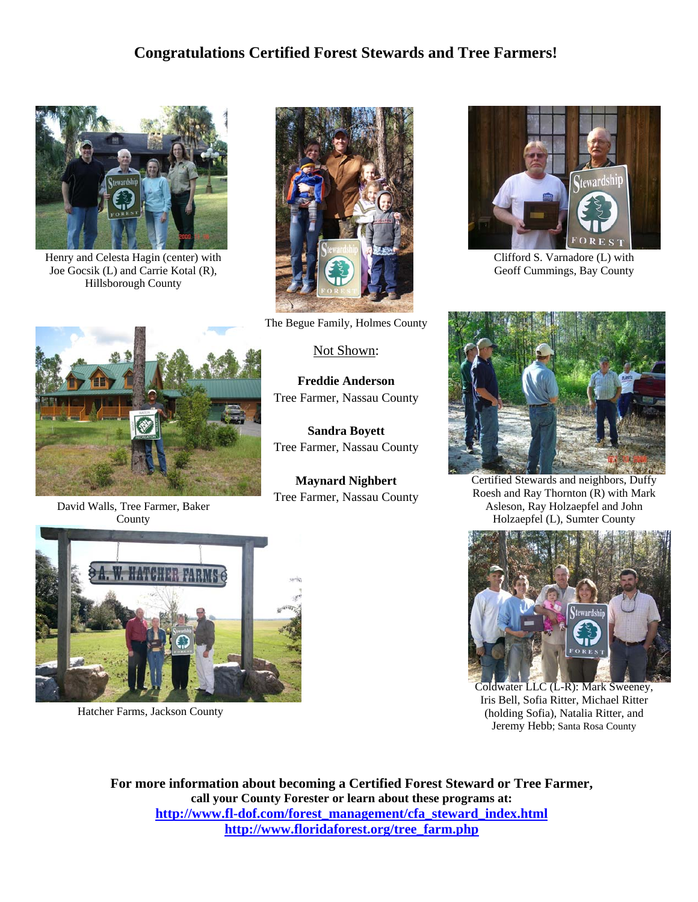## **Congratulations Certified Forest Stewards and Tree Farmers!**



Henry and Celesta Hagin (center) with Joe Gocsik (L) and Carrie Kotal (R), Hillsborough County



The Begue Family, Holmes County

#### Not Shown:

**Freddie Anderson**  Tree Farmer, Nassau County

**Sandra Boyett**  Tree Farmer, Nassau County

**Maynard Nighbert**  Tree Farmer, Nassau County



Clifford S. Varnadore (L) with Geoff Cummings, Bay County



Certified Stewards and neighbors, Duffy Roesh and Ray Thornton (R) with Mark Asleson, Ray Holzaepfel and John Holzaepfel (L), Sumter County



Coldwater LLC (L-R): Mark Sweeney, Iris Bell, Sofia Ritter, Michael Ritter (holding Sofia), Natalia Ritter, and Jeremy Hebb; Santa Rosa County

**For more information about becoming a Certified Forest Steward or Tree Farmer, call your County Forester or learn about these programs at: http://www.fl-dof.com/forest\_management/cfa\_steward\_index.html http://www.floridaforest.org/tree\_farm.php** 



David Walls, Tree Farmer, Baker County



Hatcher Farms, Jackson County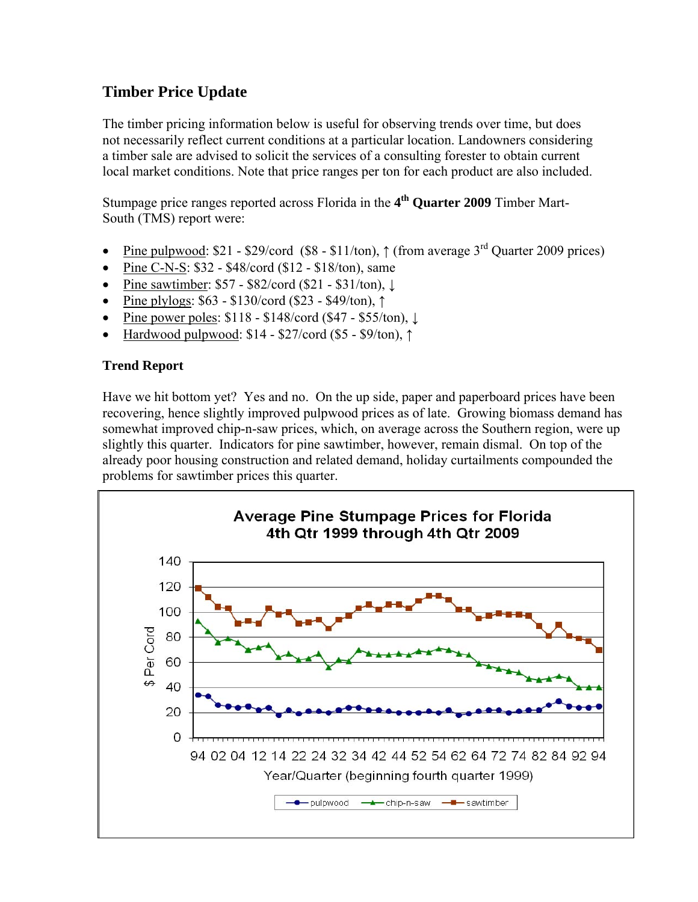## **Timber Price Update**

The timber pricing information below is useful for observing trends over time, but does not necessarily reflect current conditions at a particular location. Landowners considering a timber sale are advised to solicit the services of a consulting forester to obtain current local market conditions. Note that price ranges per ton for each product are also included.

Stumpage price ranges reported across Florida in the **4th Quarter 2009** Timber Mart-South (TMS) report were:

- Pine pulpwood: \$21 \$29/cord (\$8 \$11/ton),  $\uparrow$  (from average 3<sup>rd</sup> Quarter 2009 prices)
- Pine C-N-S: \$32 \$48/cord (\$12 \$18/ton), same
- Pine sawtimber: \$57 \$82/cord (\$21 \$31/ton), ↓
- Pine plylogs: \$63 \$130/cord (\$23 \$49/ton), ↑
- Pine power poles: \$118 \$148/cord (\$47 \$55/ton), ↓
- Hardwood pulpwood:  $$14 $27/c$ ord ( $$5 $9/t$ on),  $\uparrow$

## **Trend Report**

Have we hit bottom yet? Yes and no. On the up side, paper and paperboard prices have been recovering, hence slightly improved pulpwood prices as of late. Growing biomass demand has somewhat improved chip-n-saw prices, which, on average across the Southern region, were up slightly this quarter. Indicators for pine sawtimber, however, remain dismal. On top of the already poor housing construction and related demand, holiday curtailments compounded the problems for sawtimber prices this quarter.